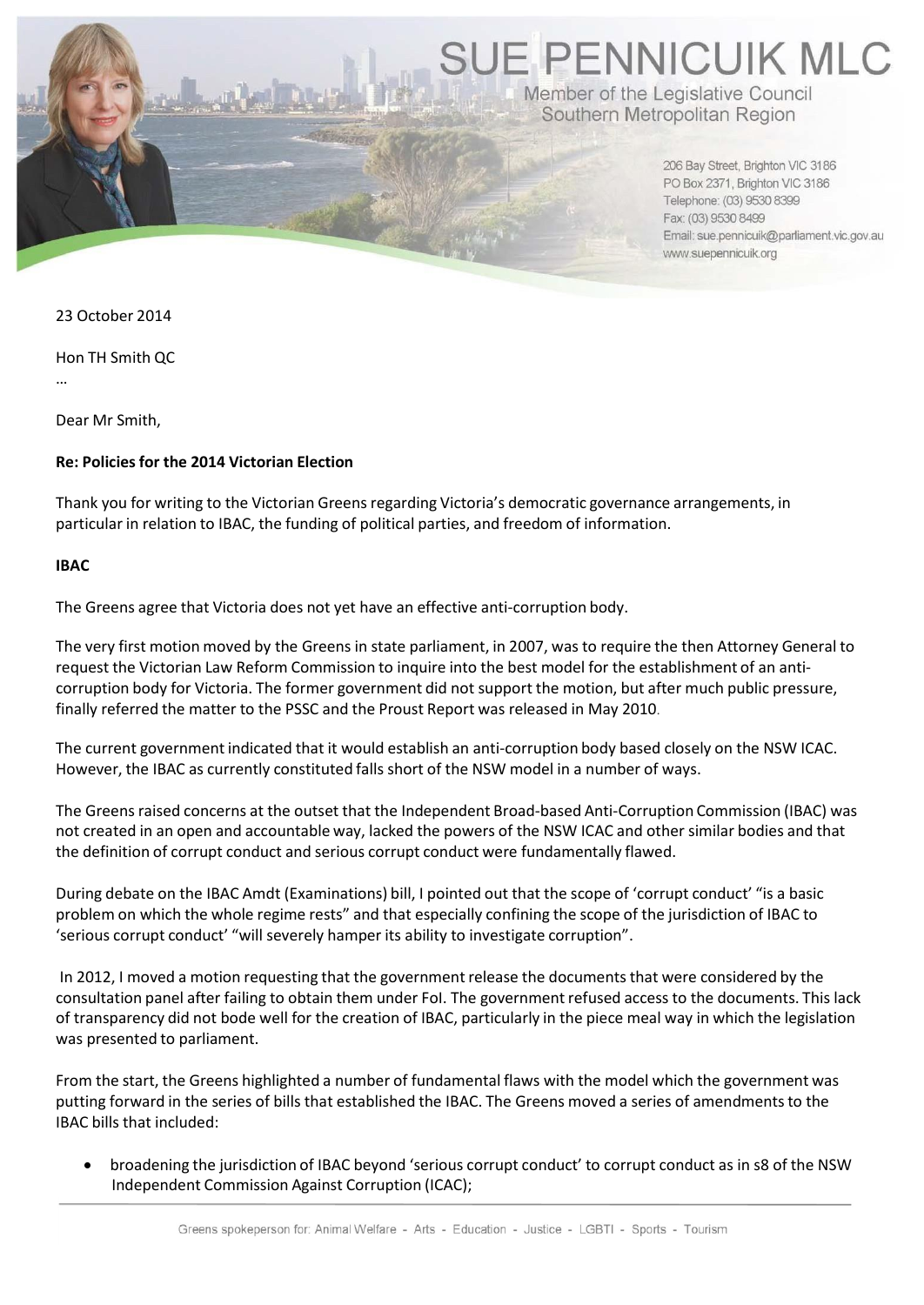**SUE PENNICUIK MLC** 

Member of the Legislative Council Southern Metropolitan Region

> 206 Bay Street, Brighton VIC 3186 PO Box 2371, Brighton VIC 3186 Telephone: (03) 9530 8399 Fax: (03) 9530 8499 Email: sue.pennicuik@parliament.vic.gov.au www.suepennicuik.org

23 October 2014

Hon TH Smith QC

…

Dear Mr Smith,

## **Re: Policies for the 2014 Victorian Election**

Thank you for writing to the Victorian Greens regarding Victoria's democratic governance arrangements, in particular in relation to IBAC, the funding of political parties, and freedom of information.

## **IBAC**

The Greens agree that Victoria does not yet have an effective anti‐corruption body.

The very first motion moved by the Greens in state parliament, in 2007, was to require the then Attorney General to request the Victorian Law Reform Commission to inquire into the best model for the establishment of an anti‐ corruption body for Victoria. The former government did not support the motion, but after much public pressure, finally referred the matter to the PSSC and the Proust Report was released in May 2010.

The current government indicated that it would establish an anti‐corruption body based closely on the NSW ICAC. However, the IBAC as currently constituted falls short of the NSW model in a number of ways.

The Greens raised concerns at the outset that the Independent Broad‐based Anti‐Corruption Commission (IBAC) was not created in an open and accountable way, lacked the powers of the NSW ICAC and other similar bodies and that the definition of corrupt conduct and serious corrupt conduct were fundamentally flawed.

During debate on the IBAC Amdt (Examinations) bill, I pointed out that the scope of 'corrupt conduct' "is a basic problem on which the whole regime rests" and that especially confining the scope of the jurisdiction of IBAC to 'serious corrupt conduct' "will severely hamper its ability to investigate corruption".

In 2012, I moved a motion requesting that the government release the documents that were considered by the consultation panel after failing to obtain them under FoI. The government refused access to the documents. This lack of transparency did not bode well for the creation of IBAC, particularly in the piece meal way in which the legislation was presented to parliament.

From the start, the Greens highlighted a number of fundamental flaws with the model which the government was putting forward in the series of bills that established the IBAC. The Greens moved a series of amendments to the IBAC bills that included:

 broadening the jurisdiction of IBAC beyond 'serious corrupt conduct' to corrupt conduct as in s8 of the NSW Independent Commission Against Corruption (ICAC);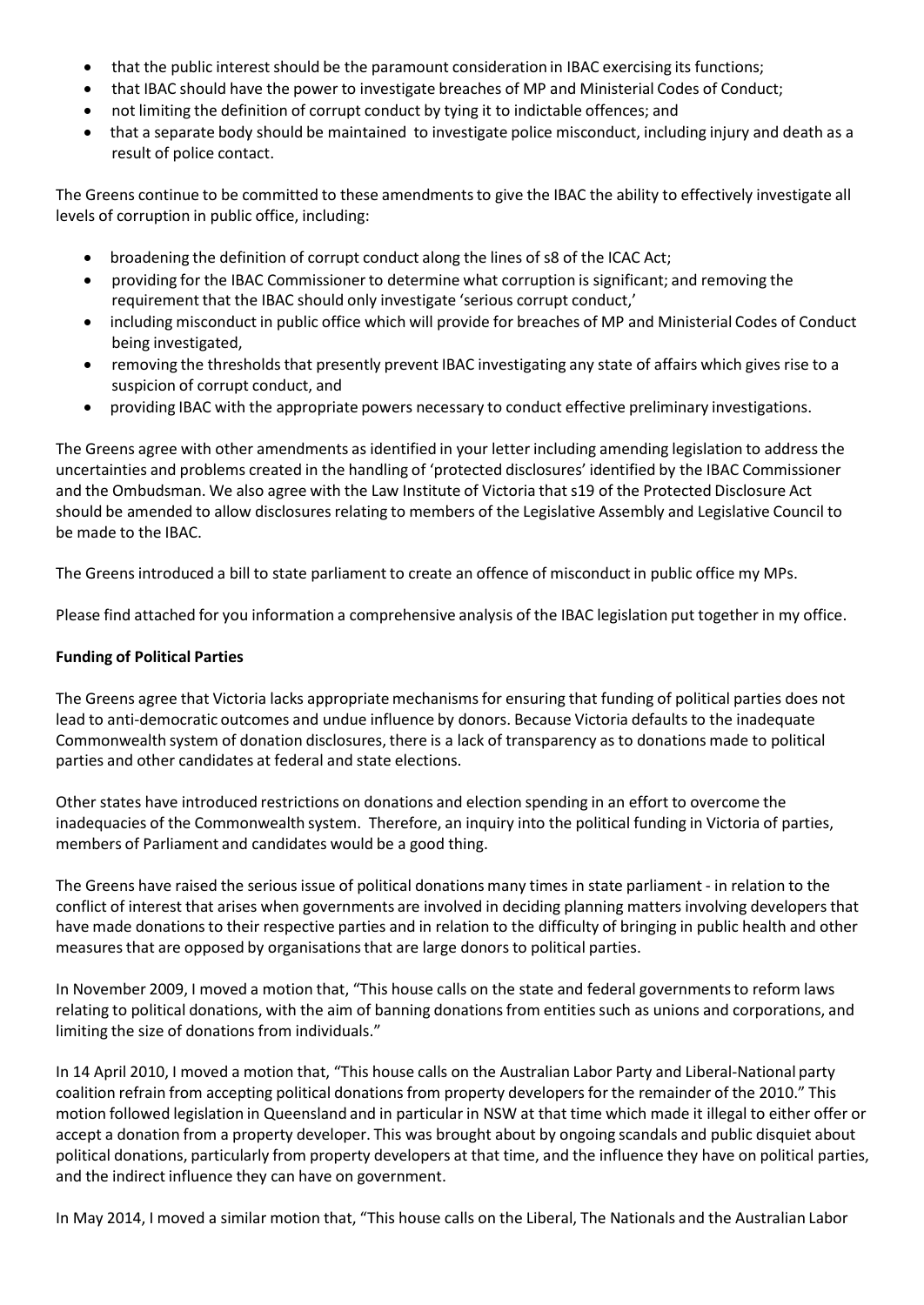- that the public interest should be the paramount consideration in IBAC exercising its functions;
- that IBAC should have the power to investigate breaches of MP and Ministerial Codes of Conduct;
- not limiting the definition of corrupt conduct by tying it to indictable offences; and
- that a separate body should be maintained to investigate police misconduct, including injury and death as a result of police contact.

The Greens continue to be committed to these amendments to give the IBAC the ability to effectively investigate all levels of corruption in public office, including:

- broadening the definition of corrupt conduct along the lines of s8 of the ICAC Act;
- providing for the IBAC Commissionerto determine what corruption is significant; and removing the requirement that the IBAC should only investigate 'serious corrupt conduct,'
- including misconduct in public office which will provide for breaches of MP and Ministerial Codes of Conduct being investigated,
- removing the thresholdsthat presently prevent IBAC investigating any state of affairs which gives rise to a suspicion of corrupt conduct, and
- providing IBAC with the appropriate powers necessary to conduct effective preliminary investigations.

The Greens agree with other amendments as identified in your letter including amending legislation to address the uncertainties and problems created in the handling of 'protected disclosures' identified by the IBAC Commissioner and the Ombudsman. We also agree with the Law Institute of Victoria that s19 of the Protected Disclosure Act should be amended to allow disclosures relating to members of the Legislative Assembly and Legislative Council to be made to the IBAC.

The Greens introduced a bill to state parliament to create an offence of misconduct in public office my MPs.

Please find attached for you information a comprehensive analysis of the IBAC legislation put together in my office.

## **Funding of Political Parties**

The Greens agree that Victoria lacks appropriate mechanismsfor ensuring that funding of political parties does not lead to anti-democratic outcomes and undue influence by donors. Because Victoria defaults to the inadequate Commonwealth system of donation disclosures, there is a lack of transparency as to donations made to political parties and other candidates at federal and state elections.

Other states have introduced restrictions on donations and election spending in an effort to overcome the inadequacies of the Commonwealth system. Therefore, an inquiry into the political funding in Victoria of parties, members of Parliament and candidates would be a good thing.

The Greens have raised the serious issue of political donations many times in state parliament ‐ in relation to the conflict of interest that arises when governments are involved in deciding planning matters involving developers that have made donations to their respective parties and in relation to the difficulty of bringing in public health and other measuresthat are opposed by organisationsthat are large donors to political parties.

In November 2009, I moved a motion that, "This house calls on the state and federal governments to reform laws relating to political donations, with the aim of banning donations from entities such as unions and corporations, and limiting the size of donations from individuals."

In 14 April 2010, I moved a motion that, "This house calls on the Australian Labor Party and Liberal‐National party coalition refrain from accepting political donations from property developers for the remainder of the 2010." This motion followed legislation in Queensland and in particular in NSW at that time which made it illegal to either offer or accept a donation from a property developer. This was brought about by ongoing scandals and public disquiet about political donations, particularly from property developers at that time, and the influence they have on political parties, and the indirect influence they can have on government.

In May 2014, I moved a similar motion that, "This house calls on the Liberal, The Nationals and the Australian Labor